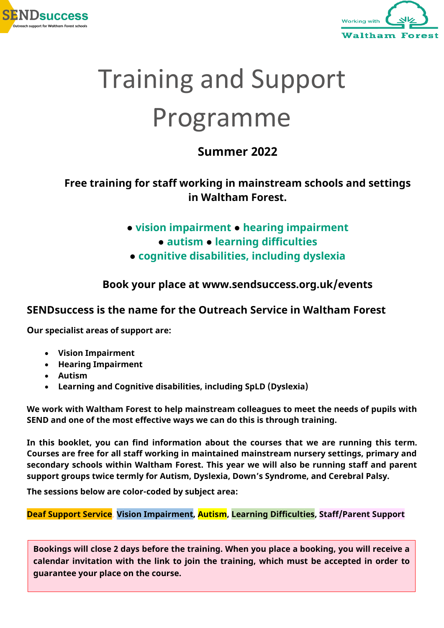



# Training and Support Programme

### **Summer 2022**

#### **Free training for staff working in mainstream schools and settings in Waltham Forest.**

- **vision impairment ● hearing impairment** 
	- **● autism ● learning difficulties**
- **● cognitive disabilities, including dyslexia**

**Book your place at www.sendsuccess.org.uk/events**

#### **SENDsuccess is the name for the Outreach Service in Waltham Forest**

**Our specialist areas of support are:**

- **Vision Impairment**
- **Hearing Impairment**
- **Autism**
- **Learning and Cognitive disabilities, including SpLD (Dyslexia)**

**We work with Waltham Forest to help mainstream colleagues to meet the needs of pupils with SEND and one of the most effective ways we can do this is through training.**

**In this booklet, you can find information about the courses that we are running this term. Courses are free for all staff working in maintained mainstream nursery settings, primary and secondary schools within Waltham Forest. This year we will also be running staff and parent support groups twice termly for Autism, Dyslexia, Down's Syndrome, and Cerebral Palsy.** 

**The sessions below are color-coded by subject area:**

**Deaf Support Service, Vision Impairment, Autism, Learning Difficulties, Staff/Parent Support**

**Bookings will close 2 days before the training. When you place a booking, you will receive a calendar invitation with the link to join the training, which must be accepted in order to guarantee your place on the course.**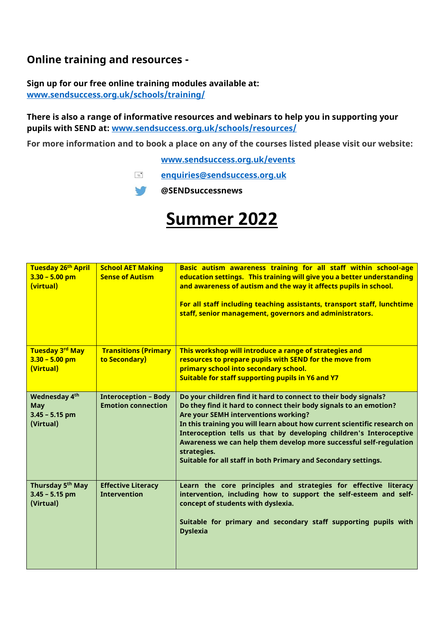#### **Online training and resources -**

#### **Sign up for our free online training modules available at: [www.sendsuccess.org.uk/schools/training/](http://www.sendsuccess.org.uk/schools/training/)**

**There is also a range of informative resources and webinars to help you in supporting your pupils with SEND at: [www.sendsuccess.org.uk/schools/resources/](https://sendsuccess.org.uk/schools/resources/)**

**For more information and to book a place on any of the courses listed please visit our website:**

**[www.sendsuccess.org.uk/events](http://www.sendsuccess.org.uk/events)**

**[enquiries@sendsuccess.org.uk](mailto:enquiries@sendsuccess.org.uk)**

**@SENDsuccessnews**  $\sqrt{ }$ 

## **Summer 2022**

| Tuesday 26 <sup>th</sup> April<br>$3.30 - 5.00$ pm<br>(virtual) | <b>School AET Making</b><br><b>Sense of Autism</b>       | Basic autism awareness training for all staff within school-age<br>education settings. This training will give you a better understanding<br>and awareness of autism and the way it affects pupils in school.<br>For all staff including teaching assistants, transport staff, lunchtime<br>staff, senior management, governors and administrators.                                                                                                                                   |
|-----------------------------------------------------------------|----------------------------------------------------------|---------------------------------------------------------------------------------------------------------------------------------------------------------------------------------------------------------------------------------------------------------------------------------------------------------------------------------------------------------------------------------------------------------------------------------------------------------------------------------------|
| Tuesday 3rd May                                                 | <b>Transitions (Primary</b>                              | This workshop will introduce a range of strategies and                                                                                                                                                                                                                                                                                                                                                                                                                                |
| $3.30 - 5.00$ pm                                                | to Secondary)                                            | resources to prepare pupils with SEND for the move from                                                                                                                                                                                                                                                                                                                                                                                                                               |
| (Virtual)                                                       |                                                          | primary school into secondary school.<br>Suitable for staff supporting pupils in Y6 and Y7                                                                                                                                                                                                                                                                                                                                                                                            |
|                                                                 |                                                          |                                                                                                                                                                                                                                                                                                                                                                                                                                                                                       |
| Wednesday 4th<br><b>May</b><br>$3.45 - 5.15$ pm<br>(Virtual)    | <b>Interoception - Body</b><br><b>Emotion connection</b> | Do your children find it hard to connect to their body signals?<br>Do they find it hard to connect their body signals to an emotion?<br>Are your SEMH interventions working?<br>In this training you will learn about how current scientific research on<br>Interoception tells us that by developing children's Interoceptive<br>Awareness we can help them develop more successful self-regulation<br>strategies.<br>Suitable for all staff in both Primary and Secondary settings. |
| Thursday 5 <sup>th</sup> May<br>$3.45 - 5.15$ pm<br>(Virtual)   | <b>Effective Literacy</b><br><b>Intervention</b>         | Learn the core principles and strategies for effective literacy<br>intervention, including how to support the self-esteem and self-<br>concept of students with dyslexia.<br>Suitable for primary and secondary staff supporting pupils with<br><b>Dyslexia</b>                                                                                                                                                                                                                       |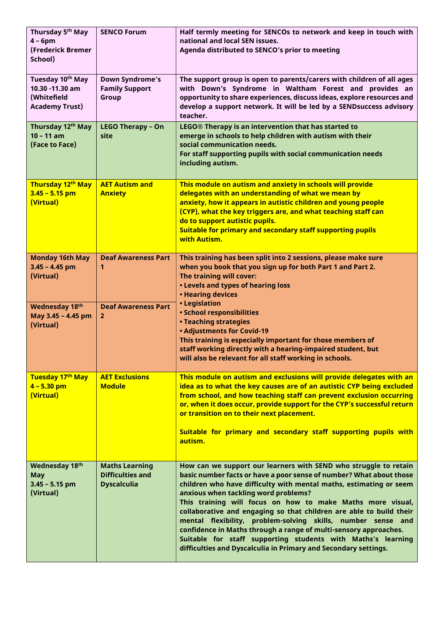| Thursday 5 <sup>th</sup> May<br>$4 - 6pm$<br>(Frederick Bremer<br>School)               | <b>SENCO Forum</b>                                                     | Half termly meeting for SENCOs to network and keep in touch with<br>national and local SEN issues.<br>Agenda distributed to SENCO's prior to meeting                                                                                                                                                                                                                                                                                                                                                                                                                                                                                                              |
|-----------------------------------------------------------------------------------------|------------------------------------------------------------------------|-------------------------------------------------------------------------------------------------------------------------------------------------------------------------------------------------------------------------------------------------------------------------------------------------------------------------------------------------------------------------------------------------------------------------------------------------------------------------------------------------------------------------------------------------------------------------------------------------------------------------------------------------------------------|
| Tuesday 10 <sup>th</sup> May<br>10.30 -11.30 am<br>(Whitefield<br><b>Academy Trust)</b> | <b>Down Syndrome's</b><br><b>Family Support</b><br>Group               | The support group is open to parents/carers with children of all ages<br>with Down's Syndrome in Waltham Forest and provides an<br>opportunity to share experiences, discuss ideas, explore resources and<br>develop a support network. It will be led by a SEND success advisory<br>teacher.                                                                                                                                                                                                                                                                                                                                                                     |
| Thursday 12th May<br>$10 - 11$ am<br>(Face to Face)                                     | <b>LEGO Therapy - On</b><br>site                                       | LEGO® Therapy is an intervention that has started to<br>emerge in schools to help children with autism with their<br>social communication needs.<br>For staff supporting pupils with social communication needs<br>including autism.                                                                                                                                                                                                                                                                                                                                                                                                                              |
| Thursday 12 <sup>th</sup> May<br>$3.45 - 5.15$ pm<br>(Virtual)                          | <b>AET Autism and</b><br><b>Anxiety</b>                                | This module on autism and anxiety in schools will provide<br>delegates with an understanding of what we mean by<br>anxiety, how it appears in autistic children and young people<br>(CYP), what the key triggers are, and what teaching staff can<br>do to support autistic pupils.<br>Suitable for primary and secondary staff supporting pupils<br>with Autism.                                                                                                                                                                                                                                                                                                 |
| <b>Monday 16th May</b><br>$3.45 - 4.45$ pm<br>(Virtual)                                 | <b>Deaf Awareness Part</b><br>1                                        | This training has been split into 2 sessions, please make sure<br>when you book that you sign up for both Part 1 and Part 2.<br>The training will cover:<br><b>. Levels and types of hearing loss</b><br>• Hearing devices                                                                                                                                                                                                                                                                                                                                                                                                                                        |
| Wednesday 18th<br>May 3.45 - 4.45 pm<br>(Virtual)                                       | <b>Deaf Awareness Part</b><br>$\overline{2}$                           | • Legislation<br>· School responsibilities<br><b>• Teaching strategies</b><br><b>. Adjustments for Covid-19</b><br>This training is especially important for those members of<br>staff working directly with a hearing-impaired student, but<br>will also be relevant for all staff working in schools.                                                                                                                                                                                                                                                                                                                                                           |
| Tuesday 17th May<br>$4 - 5.30$ pm<br>(Virtual)                                          | <b>AET Exclusions</b><br><b>Module</b>                                 | This module on autism and exclusions will provide delegates with an<br>idea as to what the key causes are of an autistic CYP being excluded<br>from school, and how teaching staff can prevent exclusion occurring<br>or, when it does occur, provide support for the CYP's successful return<br>or transition on to their next placement.<br>Suitable for primary and secondary staff supporting pupils with<br>autism.                                                                                                                                                                                                                                          |
| Wednesday 18th<br><b>May</b><br>$3.45 - 5.15$ pm<br>(Virtual)                           | <b>Maths Learning</b><br><b>Difficulties and</b><br><b>Dyscalculia</b> | How can we support our learners with SEND who struggle to retain<br>basic number facts or have a poor sense of number? What about those<br>children who have difficulty with mental maths, estimating or seem<br>anxious when tackling word problems?<br>This training will focus on how to make Maths more visual,<br>collaborative and engaging so that children are able to build their<br>mental flexibility, problem-solving skills, number sense and<br>confidence in Maths through a range of multi-sensory approaches.<br>Suitable for staff supporting students with Maths's learning<br>difficulties and Dyscalculia in Primary and Secondary settings. |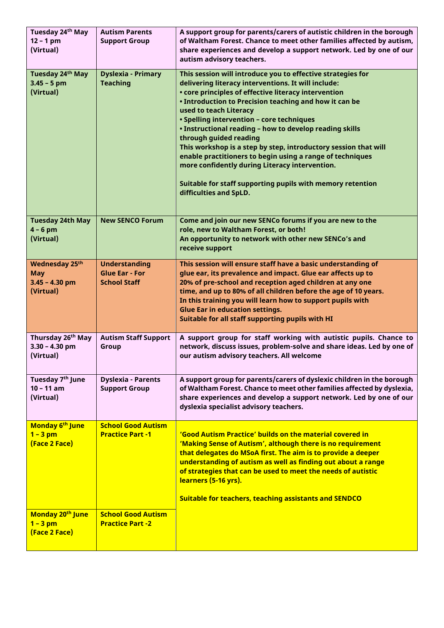| Tuesday 24 <sup>th</sup> May<br>$12 - 1$ pm<br>(Virtual)       | <b>Autism Parents</b><br><b>Support Group</b>                        | A support group for parents/carers of autistic children in the borough<br>of Waltham Forest. Chance to meet other families affected by autism,<br>share experiences and develop a support network. Led by one of our<br>autism advisory teachers.                                                                                                                                                                                                                                                                                                                                                                                                                          |
|----------------------------------------------------------------|----------------------------------------------------------------------|----------------------------------------------------------------------------------------------------------------------------------------------------------------------------------------------------------------------------------------------------------------------------------------------------------------------------------------------------------------------------------------------------------------------------------------------------------------------------------------------------------------------------------------------------------------------------------------------------------------------------------------------------------------------------|
| Tuesday 24th May<br>$3.45 - 5$ pm<br>(Virtual)                 | <b>Dyslexia - Primary</b><br><b>Teaching</b>                         | This session will introduce you to effective strategies for<br>delivering literacy interventions. It will include:<br>• core principles of effective literacy intervention<br>• Introduction to Precision teaching and how it can be<br>used to teach Literacy<br>· Spelling intervention - core techniques<br>. Instructional reading - how to develop reading skills<br>through guided reading<br>This workshop is a step by step, introductory session that will<br>enable practitioners to begin using a range of techniques<br>more confidently during Literacy intervention.<br>Suitable for staff supporting pupils with memory retention<br>difficulties and SpLD. |
| <b>Tuesday 24th May</b><br>$4 - 6$ pm<br>(Virtual)             | <b>New SENCO Forum</b>                                               | Come and join our new SENCo forums if you are new to the<br>role, new to Waltham Forest, or both!<br>An opportunity to network with other new SENCo's and<br>receive support                                                                                                                                                                                                                                                                                                                                                                                                                                                                                               |
| Wednesday 25th<br><b>May</b><br>$3.45 - 4.30$ pm<br>(Virtual)  | <b>Understanding</b><br><b>Glue Ear - For</b><br><b>School Staff</b> | This session will ensure staff have a basic understanding of<br>glue ear, its prevalence and impact. Glue ear affects up to<br>20% of pre-school and reception aged children at any one<br>time, and up to 80% of all children before the age of 10 years.<br>In this training you will learn how to support pupils with<br><b>Glue Ear in education settings.</b><br>Suitable for all staff supporting pupils with HI                                                                                                                                                                                                                                                     |
| Thursday 26 <sup>th</sup> May<br>$3.30 - 4.30$ pm<br>(Virtual) | <b>Autism Staff Support</b><br>Group                                 | A support group for staff working with autistic pupils. Chance to<br>network, discuss issues, problem-solve and share ideas. Led by one of<br>our autism advisory teachers. All welcome                                                                                                                                                                                                                                                                                                                                                                                                                                                                                    |
| Tuesday 7 <sup>th</sup> June<br>$10 - 11$ am<br>(Virtual)      | <b>Dyslexia - Parents</b><br><b>Support Group</b>                    | A support group for parents/carers of dyslexic children in the borough<br>of Waltham Forest. Chance to meet other families affected by dyslexia,<br>share experiences and develop a support network. Led by one of our<br>dyslexia specialist advisory teachers.                                                                                                                                                                                                                                                                                                                                                                                                           |
| Monday 6 <sup>th</sup> June<br>$1 - 3$ pm<br>(Face 2 Face)     | <b>School Good Autism</b><br><b>Practice Part -1</b>                 | 'Good Autism Practice' builds on the material covered in<br>'Making Sense of Autism', although there is no requirement<br>that delegates do MSoA first. The aim is to provide a deeper<br>understanding of autism as well as finding out about a range<br>of strategies that can be used to meet the needs of autistic<br>learners (5-16 yrs).<br><b>Suitable for teachers, teaching assistants and SENDCO</b>                                                                                                                                                                                                                                                             |
| Monday 20 <sup>th</sup> June<br>$1 - 3$ pm<br>(Face 2 Face)    | <b>School Good Autism</b><br><b>Practice Part -2</b>                 |                                                                                                                                                                                                                                                                                                                                                                                                                                                                                                                                                                                                                                                                            |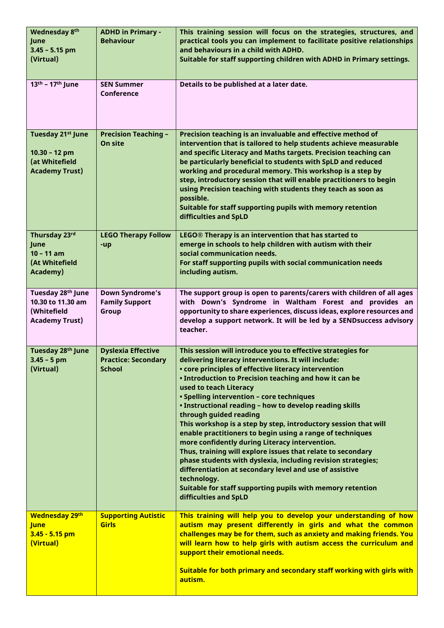| Wednesday 8th<br>June<br>$3.45 - 5.15$ pm<br>(Virtual)                                      | <b>ADHD in Primary -</b><br><b>Behaviour</b>                             | This training session will focus on the strategies, structures, and<br>practical tools you can implement to facilitate positive relationships<br>and behaviours in a child with ADHD.<br>Suitable for staff supporting children with ADHD in Primary settings.                                                                                                                                                                                                                                                                                                                                                                                                                                                                                                                                                                                                                     |
|---------------------------------------------------------------------------------------------|--------------------------------------------------------------------------|------------------------------------------------------------------------------------------------------------------------------------------------------------------------------------------------------------------------------------------------------------------------------------------------------------------------------------------------------------------------------------------------------------------------------------------------------------------------------------------------------------------------------------------------------------------------------------------------------------------------------------------------------------------------------------------------------------------------------------------------------------------------------------------------------------------------------------------------------------------------------------|
| 13th - 17th June                                                                            | <b>SEN Summer</b><br><b>Conference</b>                                   | Details to be published at a later date.                                                                                                                                                                                                                                                                                                                                                                                                                                                                                                                                                                                                                                                                                                                                                                                                                                           |
| Tuesday 21 <sup>st</sup> June<br>$10.30 - 12$ pm<br>(at Whitefield<br><b>Academy Trust)</b> | <b>Precision Teaching -</b><br>On site                                   | Precision teaching is an invaluable and effective method of<br>intervention that is tailored to help students achieve measurable<br>and specific Literacy and Maths targets. Precision teaching can<br>be particularly beneficial to students with SpLD and reduced<br>working and procedural memory. This workshop is a step by<br>step, introductory session that will enable practitioners to begin<br>using Precision teaching with students they teach as soon as<br>possible.<br>Suitable for staff supporting pupils with memory retention<br>difficulties and SpLD                                                                                                                                                                                                                                                                                                         |
| Thursday 23rd<br>June<br>$10 - 11$ am<br>(At Whitefield<br>Academy)                         | <b>LEGO Therapy Follow</b><br>-up                                        | LEGO® Therapy is an intervention that has started to<br>emerge in schools to help children with autism with their<br>social communication needs.<br>For staff supporting pupils with social communication needs<br>including autism.                                                                                                                                                                                                                                                                                                                                                                                                                                                                                                                                                                                                                                               |
| Tuesday 28 <sup>th</sup> June<br>10.30 to 11.30 am<br>(Whitefield<br><b>Academy Trust)</b>  | <b>Down Syndrome's</b><br><b>Family Support</b><br>Group                 | The support group is open to parents/carers with children of all ages<br>with Down's Syndrome in Waltham Forest and provides an<br>opportunity to share experiences, discuss ideas, explore resources and<br>develop a support network. It will be led by a SENDsuccess advisory<br>teacher.                                                                                                                                                                                                                                                                                                                                                                                                                                                                                                                                                                                       |
| Tuesday 28 <sup>th</sup> June<br>$3.45 - 5$ pm<br>(Virtual)                                 | <b>Dyslexia Effective</b><br><b>Practice: Secondary</b><br><b>School</b> | This session will introduce you to effective strategies for<br>delivering literacy interventions. It will include:<br>• core principles of effective literacy intervention<br>• Introduction to Precision teaching and how it can be<br>used to teach Literacy<br>· Spelling intervention - core techniques<br>. Instructional reading - how to develop reading skills<br>through guided reading<br>This workshop is a step by step, introductory session that will<br>enable practitioners to begin using a range of techniques<br>more confidently during Literacy intervention.<br>Thus, training will explore issues that relate to secondary<br>phase students with dyslexia, including revision strategies;<br>differentiation at secondary level and use of assistive<br>technology.<br>Suitable for staff supporting pupils with memory retention<br>difficulties and SpLD |
| <b>Wednesday 29th</b><br><b>June</b><br>$3.45 - 5.15$ pm<br>(Virtual)                       | <b>Supporting Autistic</b><br><b>Girls</b>                               | This training will help you to develop your understanding of how<br>autism may present differently in girls and what the common<br>challenges may be for them, such as anxiety and making friends. You<br>will learn how to help girls with autism access the curriculum and<br>support their emotional needs.<br>Suitable for both primary and secondary staff working with girls with<br>autism.                                                                                                                                                                                                                                                                                                                                                                                                                                                                                 |